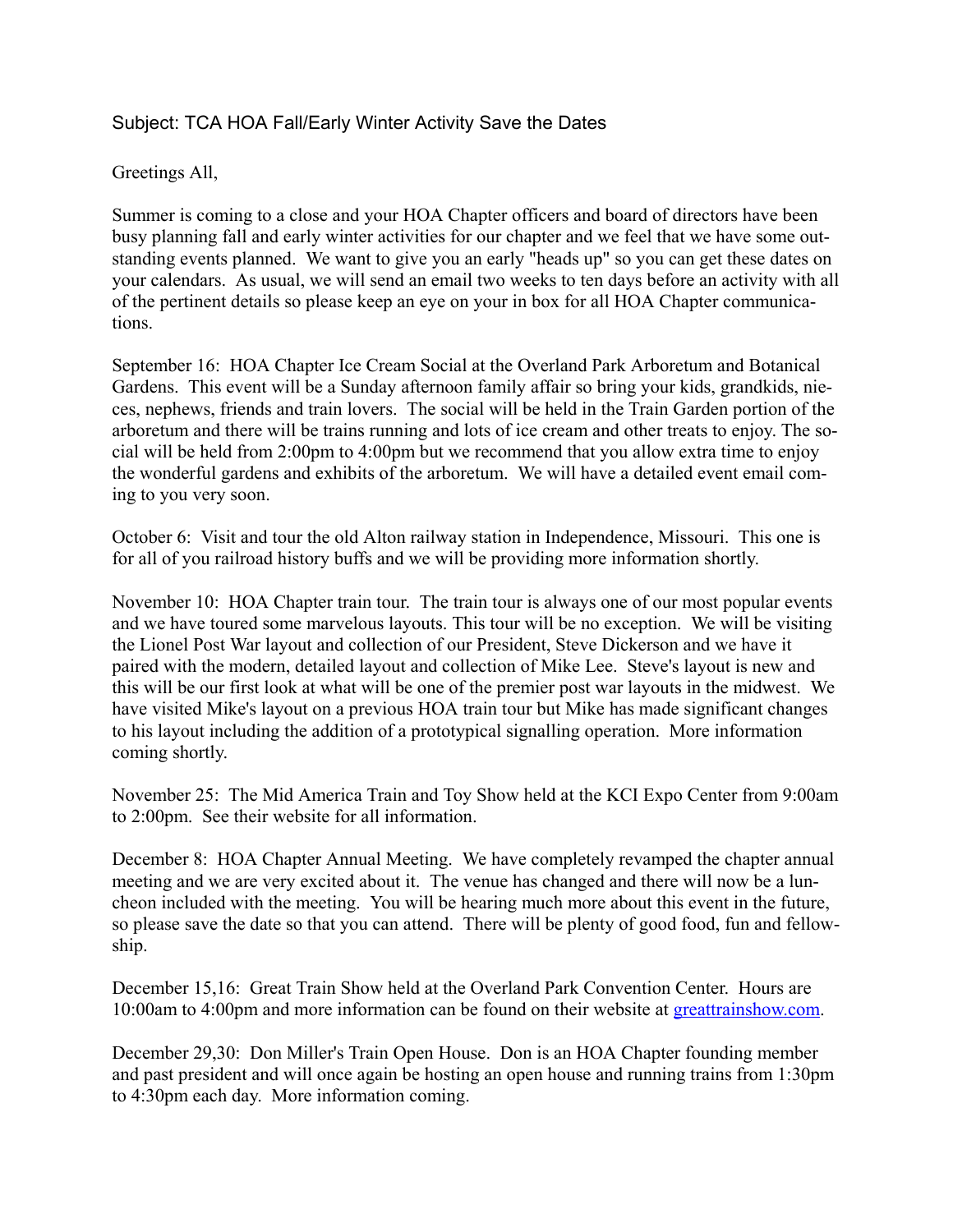## Subject: TCA HOA Fall/Early Winter Activity Save the Dates

## Greetings All,

Summer is coming to a close and your HOA Chapter officers and board of directors have been busy planning fall and early winter activities for our chapter and we feel that we have some outstanding events planned. We want to give you an early "heads up" so you can get these dates on your calendars. As usual, we will send an email two weeks to ten days before an activity with all of the pertinent details so please keep an eye on your in box for all HOA Chapter communications.

September 16: HOA Chapter Ice Cream Social at the Overland Park Arboretum and Botanical Gardens. This event will be a Sunday afternoon family affair so bring your kids, grandkids, nieces, nephews, friends and train lovers. The social will be held in the Train Garden portion of the arboretum and there will be trains running and lots of ice cream and other treats to enjoy. The social will be held from 2:00pm to 4:00pm but we recommend that you allow extra time to enjoy the wonderful gardens and exhibits of the arboretum. We will have a detailed event email coming to you very soon.

October 6: Visit and tour the old Alton railway station in Independence, Missouri. This one is for all of you railroad history buffs and we will be providing more information shortly.

November 10: HOA Chapter train tour. The train tour is always one of our most popular events and we have toured some marvelous layouts. This tour will be no exception. We will be visiting the Lionel Post War layout and collection of our President, Steve Dickerson and we have it paired with the modern, detailed layout and collection of Mike Lee. Steve's layout is new and this will be our first look at what will be one of the premier post war layouts in the midwest. We have visited Mike's layout on a previous HOA train tour but Mike has made significant changes to his layout including the addition of a prototypical signalling operation. More information coming shortly.

November 25: The Mid America Train and Toy Show held at the KCI Expo Center from 9:00am to 2:00pm. See their website for all information.

December 8: HOA Chapter Annual Meeting. We have completely revamped the chapter annual meeting and we are very excited about it. The venue has changed and there will now be a luncheon included with the meeting. You will be hearing much more about this event in the future, so please save the date so that you can attend. There will be plenty of good food, fun and fellowship.

December 15,16: Great Train Show held at the Overland Park Convention Center. Hours are 10:00am to 4:00pm and more information can be found on their website at [greattrainshow.com.](http://greattrainshow.com)

December 29,30: Don Miller's Train Open House. Don is an HOA Chapter founding member and past president and will once again be hosting an open house and running trains from 1:30pm to 4:30pm each day. More information coming.